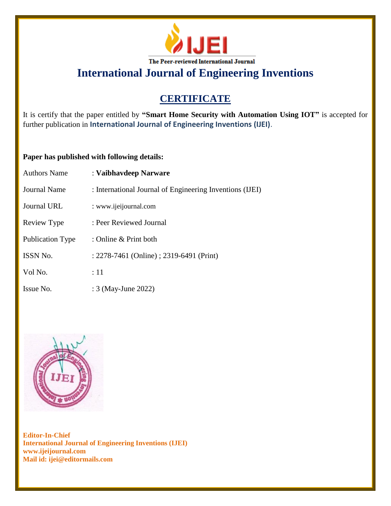

# **CERTIFICATE**

It is certify that the paper entitled by **"Smart Home Security with Automation Using IOT"** is accepted for further publication in **International Journal of Engineering Inventions (IJEI)**.

## **Paper has published with following details:**

| <b>Authors Name</b>     | : Vaibhavdeep Narware                                    |
|-------------------------|----------------------------------------------------------|
| Journal Name            | : International Journal of Engineering Inventions (IJEI) |
| <b>Journal URL</b>      | : www.ijeijournal.com                                    |
| Review Type             | : Peer Reviewed Journal                                  |
| <b>Publication Type</b> | : Online $&$ Print both                                  |
| <b>ISSN No.</b>         | : 2278-7461 (Online) ; 2319-6491 (Print)                 |
| Vol No.                 | :11                                                      |
| Issue No.               | : 3 (May-June 2022)                                      |

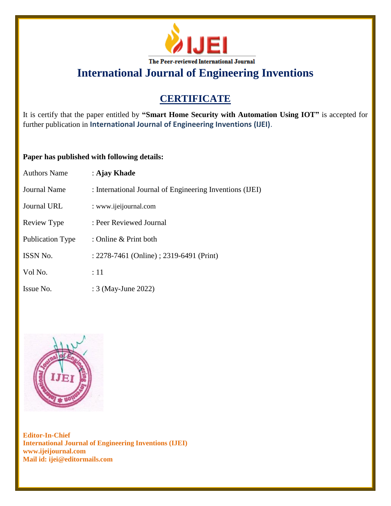

# **CERTIFICATE**

It is certify that the paper entitled by **"Smart Home Security with Automation Using IOT"** is accepted for further publication in **International Journal of Engineering Inventions (IJEI)**.

## **Paper has published with following details:**

| <b>Authors Name</b>     | : Ajay Khade                                             |
|-------------------------|----------------------------------------------------------|
| Journal Name            | : International Journal of Engineering Inventions (IJEI) |
| Journal URL             | : www.ijeijournal.com                                    |
| Review Type             | : Peer Reviewed Journal                                  |
| <b>Publication Type</b> | : Online & Print both                                    |
| <b>ISSN No.</b>         | : 2278-7461 (Online) ; 2319-6491 (Print)                 |
| Vol No.                 | :11                                                      |
| Issue No.               | : 3 (May-June 2022)                                      |

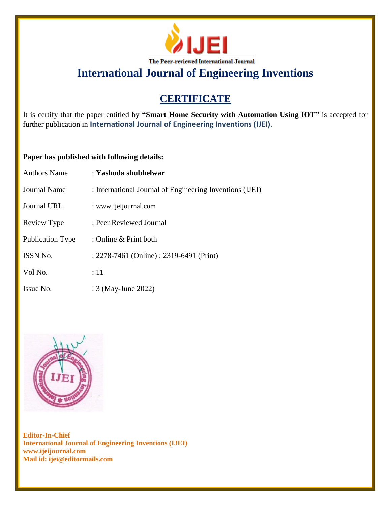

# **CERTIFICATE**

It is certify that the paper entitled by **"Smart Home Security with Automation Using IOT"** is accepted for further publication in **International Journal of Engineering Inventions (IJEI)**.

## **Paper has published with following details:**

| <b>Authors Name</b>     | : Yashoda shubhelwar                                     |
|-------------------------|----------------------------------------------------------|
| Journal Name            | : International Journal of Engineering Inventions (IJEI) |
| Journal URL             | : www.ijeijournal.com                                    |
| Review Type             | : Peer Reviewed Journal                                  |
| <b>Publication Type</b> | : Online & Print both                                    |
| ISSN No.                | : 2278-7461 (Online) ; 2319-6491 (Print)                 |
| Vol No.                 | :11                                                      |
| Issue No.               | : 3 (May-June 2022)                                      |